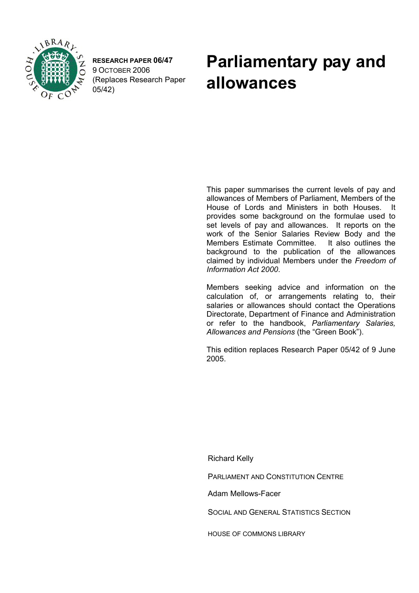

**RESEARCH PAPER 06/47**  9 OCTOBER 2006 (Replaces Research Paper 05/42)

# **Parliamentary pay and allowances**

 This paper summarises the current levels of pay and allowances of Members of Parliament, Members of the House of Lords and Ministers in both Houses. It provides some background on the formulae used to set levels of pay and allowances. It reports on the work of the Senior Salaries Review Body and the Members Estimate Committee. It also outlines the background to the publication of the allowances claimed by individual Members under the *Freedom of Information Act 2000*.

Members seeking advice and information on the calculation of, or arrangements relating to, their salaries or allowances should contact the Operations Directorate, Department of Finance and Administration or refer to the handbook, *Parliamentary Salaries, Allowances and Pensions* (the "Green Book").

This edition replaces Research Paper 05/42 of 9 June 2005.

Richard Kelly

PARLIAMENT AND CONSTITUTION CENTRE

Adam Mellows-Facer

SOCIAL AND GENERAL STATISTICS SECTION

HOUSE OF COMMONS LIBRARY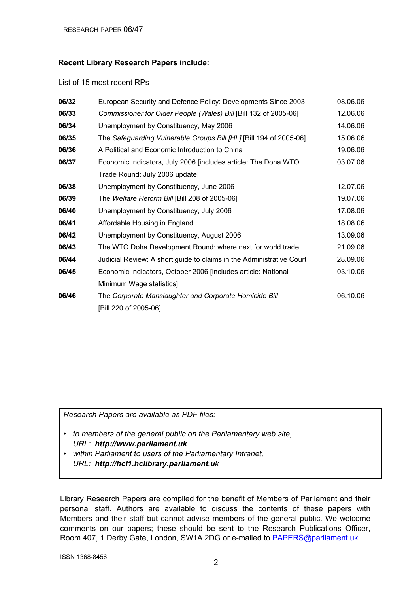#### **Recent Library Research Papers include:**

#### List of 15 most recent RPs

| 06/32 | European Security and Defence Policy: Developments Since 2003        | 08.06.06 |
|-------|----------------------------------------------------------------------|----------|
| 06/33 | Commissioner for Older People (Wales) Bill [Bill 132 of 2005-06]     | 12.06.06 |
| 06/34 | Unemployment by Constituency, May 2006                               | 14.06.06 |
| 06/35 | The Safeguarding Vulnerable Groups Bill [HL] [Bill 194 of 2005-06]   | 15.06.06 |
| 06/36 | A Political and Economic Introduction to China                       | 19.06.06 |
| 06/37 | Economic Indicators, July 2006 [includes article: The Doha WTO       | 03.07.06 |
|       | Trade Round: July 2006 update]                                       |          |
| 06/38 | Unemployment by Constituency, June 2006                              | 12.07.06 |
| 06/39 | The Welfare Reform Bill [Bill 208 of 2005-06]                        | 19.07.06 |
| 06/40 | Unemployment by Constituency, July 2006                              | 17.08.06 |
| 06/41 | Affordable Housing in England                                        | 18.08.06 |
| 06/42 | Unemployment by Constituency, August 2006                            | 13.09.06 |
| 06/43 | The WTO Doha Development Round: where next for world trade           | 21.09.06 |
| 06/44 | Judicial Review: A short guide to claims in the Administrative Court | 28.09.06 |
| 06/45 | Economic Indicators, October 2006 [includes article: National        | 03.10.06 |
|       | Minimum Wage statistics]                                             |          |
| 06/46 | The Corporate Manslaughter and Corporate Homicide Bill               | 06.10.06 |
|       | [Bill 220 of 2005-06]                                                |          |
|       |                                                                      |          |

*Research Papers are available as PDF files:* 

- *to members of the general public on the Parliamentary web site, URL: http://www.parliament.uk*
- *within Parliament to users of the Parliamentary Intranet, URL: http://hcl1.hclibrary.parliament.uk*

Library Research Papers are compiled for the benefit of Members of Parliament and their personal staff. Authors are available to discuss the contents of these papers with Members and their staff but cannot advise members of the general public. We welcome comments on our papers; these should be sent to the Research Publications Officer, Room 407, 1 Derby Gate, London, SW1A 2DG or e-mailed to PAPERS@parliament.uk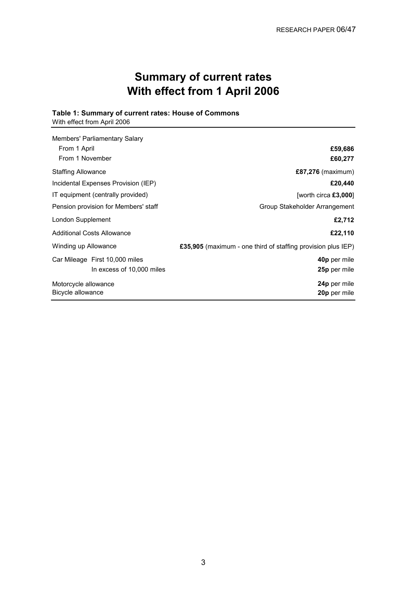## **Summary of current rates With effect from 1 April 2006**

## **Table 1: Summary of current rates: House of Commons**

With effect from April 2006

| Members' Parliamentary Salary        |                                                              |
|--------------------------------------|--------------------------------------------------------------|
| From 1 April                         | £59,686                                                      |
| From 1 November                      | £60,277                                                      |
| <b>Staffing Allowance</b>            | £87,276 (maximum)                                            |
| Incidental Expenses Provision (IEP)  | £20,440                                                      |
| IT equipment (centrally provided)    | [worth circa $£3,000$ ]                                      |
| Pension provision for Members' staff | Group Stakeholder Arrangement                                |
| London Supplement                    | £2,712                                                       |
| <b>Additional Costs Allowance</b>    | £22,110                                                      |
| Winding up Allowance                 | £35,905 (maximum - one third of staffing provision plus IEP) |
| Car Mileage First 10,000 miles       | 40p per mile                                                 |
| In excess of 10,000 miles            | 25p per mile                                                 |
| Motorcycle allowance                 | 24p per mile                                                 |
| Bicycle allowance                    | 20p per mile                                                 |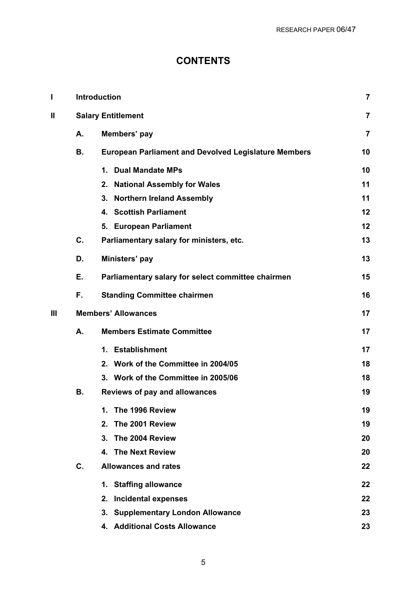## **CONTENTS**

| I   |    | <b>Introduction</b>                                         | $\overline{7}$ |
|-----|----|-------------------------------------------------------------|----------------|
| Ш   |    | <b>Salary Entitlement</b>                                   | $\overline{7}$ |
|     | А. | Members' pay                                                | $\overline{7}$ |
|     | В. | <b>European Parliament and Devolved Legislature Members</b> | 10             |
|     |    | <b>Dual Mandate MPs</b><br>1.                               | 10             |
|     |    | 2.<br><b>National Assembly for Wales</b>                    | 11             |
|     |    | 3.<br><b>Northern Ireland Assembly</b>                      | 11             |
|     |    | 4. Scottish Parliament                                      | 12             |
|     |    | 5. European Parliament                                      | 12             |
|     | C. | Parliamentary salary for ministers, etc.                    | 13             |
|     | D. | Ministers' pay                                              | 13             |
|     | Ε. | Parliamentary salary for select committee chairmen          | 15             |
|     | F. | <b>Standing Committee chairmen</b>                          | 16             |
| III |    | <b>Members' Allowances</b>                                  | 17             |
|     | Α. | <b>Members Estimate Committee</b>                           | 17             |
|     |    | 1. Establishment                                            | 17             |
|     |    | 2. Work of the Committee in 2004/05                         | 18             |
|     |    | 3. Work of the Committee in 2005/06                         | 18             |
|     | В. | Reviews of pay and allowances                               | 19             |
|     |    | 1.<br>The 1996 Review                                       | 19             |
|     |    | The 2001 Review<br>2.                                       | 19             |
|     |    | The 2004 Review<br>3.                                       | 20             |
|     |    | 4. The Next Review                                          | 20             |
|     | C. | <b>Allowances and rates</b>                                 | 22             |
|     |    | 1. Staffing allowance                                       | 22             |
|     |    | <b>Incidental expenses</b><br>2.                            | 22             |
|     |    | 3. Supplementary London Allowance                           | 23             |
|     |    | 4. Additional Costs Allowance                               | 23             |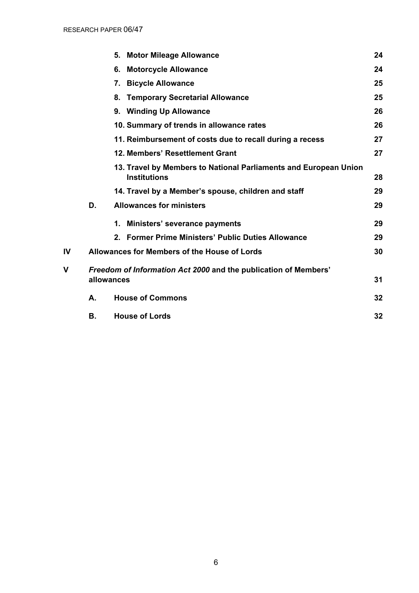|    |            | 5. | <b>Motor Mileage Allowance</b>                                                          | 24 |
|----|------------|----|-----------------------------------------------------------------------------------------|----|
|    |            | 6. | <b>Motorcycle Allowance</b>                                                             | 24 |
|    |            | 7. | <b>Bicycle Allowance</b>                                                                | 25 |
|    |            | 8. | <b>Temporary Secretarial Allowance</b>                                                  | 25 |
|    |            |    | 9. Winding Up Allowance                                                                 | 26 |
|    |            |    | 10. Summary of trends in allowance rates                                                | 26 |
|    |            |    | 11. Reimbursement of costs due to recall during a recess                                | 27 |
|    |            |    | 12. Members' Resettlement Grant                                                         | 27 |
|    |            |    | 13. Travel by Members to National Parliaments and European Union<br><b>Institutions</b> | 28 |
|    |            |    | 14. Travel by a Member's spouse, children and staff                                     | 29 |
|    | D.         |    | <b>Allowances for ministers</b>                                                         | 29 |
|    |            | 1. | Ministers' severance payments                                                           | 29 |
|    |            |    | 2. Former Prime Ministers' Public Duties Allowance                                      | 29 |
| IV |            |    | Allowances for Members of the House of Lords                                            | 30 |
| V  |            |    | Freedom of Information Act 2000 and the publication of Members'                         |    |
|    | allowances |    |                                                                                         | 31 |
|    | А.         |    | <b>House of Commons</b>                                                                 | 32 |
|    | В.         |    | <b>House of Lords</b>                                                                   | 32 |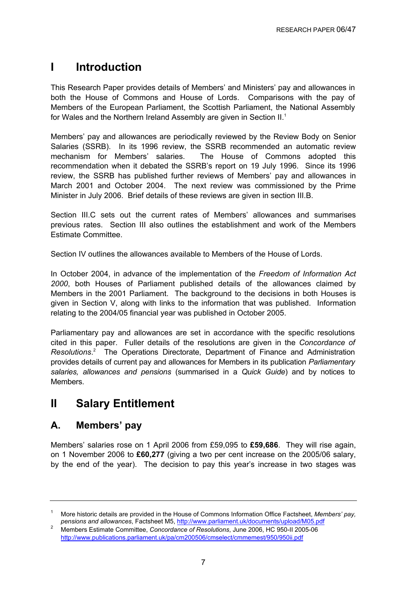## **I Introduction**

This Research Paper provides details of Members' and Ministers' pay and allowances in both the House of Commons and House of Lords. Comparisons with the pay of Members of the European Parliament, the Scottish Parliament, the National Assembly for Wales and the Northern Ireland Assembly are given in Section II.<sup>1</sup>

Members' pay and allowances are periodically reviewed by the Review Body on Senior Salaries (SSRB). In its 1996 review, the SSRB recommended an automatic review mechanism for Members' salaries. The House of Commons adopted this recommendation when it debated the SSRB's report on 19 July 1996. Since its 1996 review, the SSRB has published further reviews of Members' pay and allowances in March 2001 and October 2004. The next review was commissioned by the Prime Minister in July 2006. Brief details of these reviews are given in section III.B.

Section III.C sets out the current rates of Members' allowances and summarises previous rates. Section III also outlines the establishment and work of the Members Estimate Committee.

Section IV outlines the allowances available to Members of the House of Lords.

In October 2004, in advance of the implementation of the *Freedom of Information Act 2000*, both Houses of Parliament published details of the allowances claimed by Members in the 2001 Parliament. The background to the decisions in both Houses is given in Section V, along with links to the information that was published. Information relating to the 2004/05 financial year was published in October 2005.

Parliamentary pay and allowances are set in accordance with the specific resolutions cited in this paper. Fuller details of the resolutions are given in the *Concordance of*  Resolutions.<sup>2</sup> The Operations Directorate, Department of Finance and Administration provides details of current pay and allowances for Members in its publication *Parliamentary salaries, allowances and pensions* (summarised in a *Quick Guide*) and by notices to Members.

## **II Salary Entitlement**

## **A. Members' pay**

Members' salaries rose on 1 April 2006 from £59,095 to **£59,686**. They will rise again, on 1 November 2006 to **£60,277** (giving a two per cent increase on the 2005/06 salary, by the end of the year). The decision to pay this year's increase in two stages was

<sup>1</sup> More historic details are provided in the House of Commons Information Office Factsheet, *Members' pay, pensions and allowances*, Factsheet M5, http://www.parliament.uk/documents/upload/M05.pdf

Members Estimate Committee, *Concordance of Resolutions*, June 2006, HC 950-II 2005-06 http://www.publications.parliament.uk/pa/cm200506/cmselect/cmmemest/950/950ii.pdf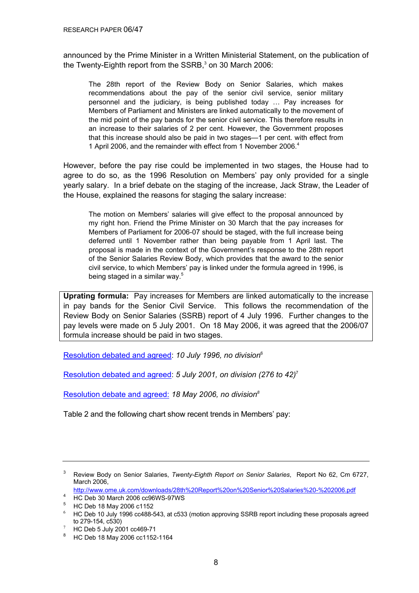announced by the Prime Minister in a Written Ministerial Statement, on the publication of the Twenty-Eighth report from the SSRB, $3$  on 30 March 2006:

The 28th report of the Review Body on Senior Salaries, which makes recommendations about the pay of the senior civil service, senior military personnel and the judiciary, is being published today … Pay increases for Members of Parliament and Ministers are linked automatically to the movement of the mid point of the pay bands for the senior civil service. This therefore results in an increase to their salaries of 2 per cent. However, the Government proposes that this increase should also be paid in two stages—1 per cent. with effect from 1 April 2006, and the remainder with effect from 1 November 2006.<sup>4</sup>

However, before the pay rise could be implemented in two stages, the House had to agree to do so, as the 1996 Resolution on Members' pay only provided for a single yearly salary. In a brief debate on the staging of the increase, Jack Straw, the Leader of the House, explained the reasons for staging the salary increase:

The motion on Members' salaries will give effect to the proposal announced by my right hon. Friend the Prime Minister on 30 March that the pay increases for Members of Parliament for 2006-07 should be staged, with the full increase being deferred until 1 November rather than being payable from 1 April last. The proposal is made in the context of the Government's response to the 28th report of the Senior Salaries Review Body, which provides that the award to the senior civil service, to which Members' pay is linked under the formula agreed in 1996, is being staged in a similar way.<sup>5</sup>

**Uprating formula:** Pay increases for Members are linked automatically to the increase in pay bands for the Senior Civil Service. This follows the recommendation of the Review Body on Senior Salaries (SSRB) report of 4 July 1996. Further changes to the pay levels were made on 5 July 2001. On 18 May 2006, it was agreed that the 2006/07 formula increase should be paid in two stages.

[Resolution debated and](http://www.publications.parliament.uk/pa/cm199596/cmhansrd/vo960710/debtext/60710-60.htm#60710-60_spnew0) agreed: *10 July 1996, no division*<sup>6</sup>

[Resolution debated and](http://www.publications.parliament.uk/pa/cm200102/cmhansrd/vo010705/debtext/10705-26.htm#10705-26_div13) agreed: *5 July 2001, on division (276 to 42)*<sup>7</sup>

[Resolution debate and agreed:](http://www.publications.parliament.uk/pa/cm200506/cmhansrd/cm060518/debtext/60518-0239.htm#060518114000003) *18 May 2006, no division8*

Table 2 and the following chart show recent trends in Members' pay:

<sup>3</sup> Review Body on Senior Salaries, *Twenty-Eighth Report on Senior Salaries*, Report No 62, Cm 6727, March 2006, http://www.ome.uk.com/downloads/28th%20Report%20on%20Senior%20Salaries%20-%202006.pdf 4

<sup>4</sup> HC Deb 30 March 2006 cc96WS-97WS

<sup>&</sup>lt;sup>5</sup> HC Deb 18 May 2006 c1152

<sup>6</sup> HC Deb 10 July 1996 cc488-543, at c533 (motion approving SSRB report including these proposals agreed to 279-154, c530)

 $7$  HC Deb 5 July 2001 cc469-71

<sup>&</sup>lt;sup>8</sup> HC Deb 18 May 2006 cc1152-1164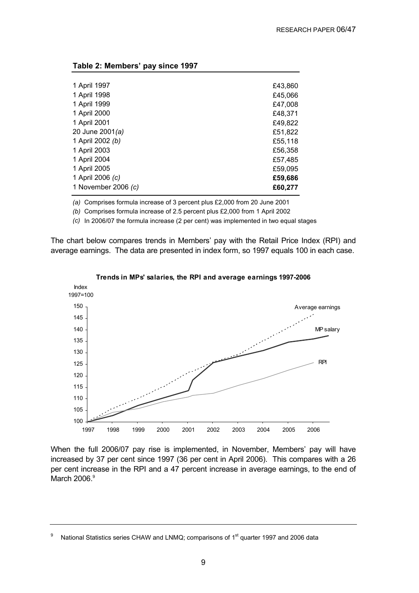|  | Table 2: Members' pay since 1997 |  |  |
|--|----------------------------------|--|--|
|--|----------------------------------|--|--|

| 1 April 1997          | £43,860 |
|-----------------------|---------|
| 1 April 1998          | £45,066 |
| 1 April 1999          | £47,008 |
| 1 April 2000          | £48,371 |
| 1 April 2001          | £49,822 |
| 20 June 2001(a)       | £51,822 |
| 1 April 2002 (b)      | £55,118 |
| 1 April 2003          | £56,358 |
| 1 April 2004          | £57,485 |
| 1 April 2005          | £59,095 |
| 1 April 2006 (c)      | £59,686 |
| 1 November 2006 $(c)$ | £60,277 |
|                       |         |

*(a)*  Comprises formula increase of 3 percent plus £2,000 from 20 June 2001

*(b)* Comprises formula increase of 2.5 percent plus £2,000 from 1 April 2002

*(c)* In 2006/07 the formula increase (2 per cent) was implemented in two equal stages

The chart below compares trends in Members' pay with the Retail Price Index (RPI) and average earnings. The data are presented in index form, so 1997 equals 100 in each case.



**Trends in MPs' salaries, the RPI and average earnings 1997-2006**

When the full 2006/07 pay rise is implemented, in November, Members' pay will have increased by 37 per cent since 1997 (36 per cent in April 2006). This compares with a 26 per cent increase in the RPI and a 47 percent increase in average earnings, to the end of March 2006.<sup>9</sup>

<sup>9</sup> National Statistics series CHAW and LNMQ; comparisons of 1<sup>st</sup> quarter 1997 and 2006 data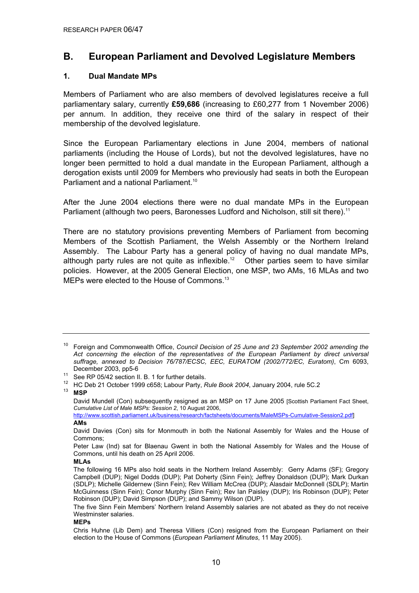## **B. European Parliament and Devolved Legislature Members**

#### **1. Dual Mandate MPs**

Members of Parliament who are also members of devolved legislatures receive a full parliamentary salary, currently **£59,686** (increasing to £60,277 from 1 November 2006) per annum. In addition, they receive one third of the salary in respect of their membership of the devolved legislature.

Since the European Parliamentary elections in June 2004, members of national parliaments (including the House of Lords), but not the devolved legislatures, have no longer been permitted to hold a dual mandate in the European Parliament, although a derogation exists until 2009 for Members who previously had seats in both the European Parliament and a national Parliament<sup>10</sup>

After the June 2004 elections there were no dual mandate MPs in the European Parliament (although two peers, Baronesses Ludford and Nicholson, still sit there).<sup>11</sup>

There are no statutory provisions preventing Members of Parliament from becoming Members of the Scottish Parliament, the Welsh Assembly or the Northern Ireland Assembly. The Labour Party has a general policy of having no dual mandate MPs, although party rules are not quite as inflexible.<sup>12</sup> Other parties seem to have similar policies. However, at the 2005 General Election, one MSP, two AMs, 16 MLAs and two MEPs were elected to the House of Commons.<sup>13</sup>

#### **MLAs**

#### **MEPs**

<sup>&</sup>lt;sup>10</sup> Foreian and Commonwealth Office, *Council Decision of 25 June and 23 September 2002 amending the Act concerning the election of the representatives of the European Parliament by direct universal suffrage, annexed to Decision 76/787/ECSC, EEC, EURATOM (2002/772/EC, Euratom)*, Cm 6093, December 2003, pp5-6<br><sup>11</sup> See RP 05/42 section II. B. 1 for further details.<br><sup>12</sup> JJO Bek 24 October 1000 sSER: Lebeur Berty E

<sup>12</sup> HC Deb 21 October 1999 c658; Labour Party, *Rule Book 2004*, January 2004, rule 5C.2 13 **MSP** 

David Mundell (Con) subsequently resigned as an MSP on 17 June 2005 [Scottish Parliament Fact Sheet, *Cumulative List of Male MSPs: Session 2*, 10 August 2006,

http://www.scottish.parliament.uk/business/research/factsheets/documents/MaleMSPs-Cumulative-Session2.pdf] **AMs** 

David Davies (Con) sits for Monmouth in both the National Assembly for Wales and the House of Commons;

Peter Law (Ind) sat for Blaenau Gwent in both the National Assembly for Wales and the House of Commons, until his death on 25 April 2006.

The following 16 MPs also hold seats in the Northern Ireland Assembly: Gerry Adams (SF); Gregory Campbell (DUP); Nigel Dodds (DUP); Pat Doherty (Sinn Fein); Jeffrey Donaldson (DUP); Mark Durkan (SDLP); Michelle Gildernew (Sinn Fein); Rev William McCrea (DUP); Alasdair McDonnell (SDLP); Martin McGuinness (Sinn Fein); Conor Murphy (Sinn Fein); Rev Ian Paisley (DUP); Iris Robinson (DUP); Peter Robinson (DUP); David Simpson (DUP); and Sammy Wilson (DUP).

The five Sinn Fein Members' Northern Ireland Assembly salaries are not abated as they do not receive Westminster salaries.

Chris Huhne (Lib Dem) and Theresa Villiers (Con) resigned from the European Parliament on their election to the House of Commons (*European Parliament Minutes*, 11 May 2005).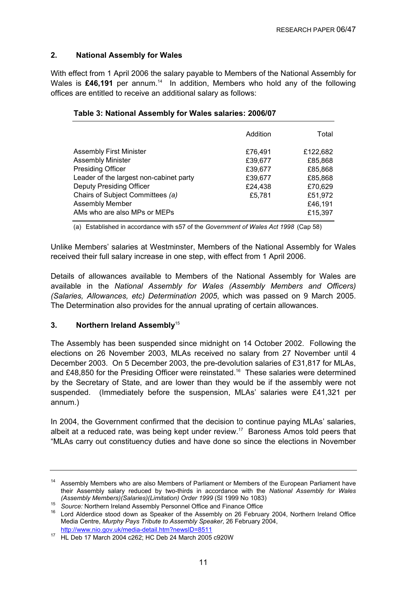#### **2. National Assembly for Wales**

With effect from 1 April 2006 the salary payable to Members of the National Assembly for Wales is £46,191 per annum.<sup>14</sup> In addition, Members who hold any of the following offices are entitled to receive an additional salary as follows:

|                                         | Addition | Total    |
|-----------------------------------------|----------|----------|
| <b>Assembly First Minister</b>          | £76,491  | £122,682 |
| <b>Assembly Minister</b>                | £39,677  | £85,868  |
| <b>Presiding Officer</b>                | £39,677  | £85,868  |
| Leader of the largest non-cabinet party | £39,677  | £85,868  |
| <b>Deputy Presiding Officer</b>         | £24,438  | £70,629  |
| Chairs of Subject Committees (a)        | £5,781   | £51,972  |
| <b>Assembly Member</b>                  |          | £46,191  |
| AMs who are also MPs or MEPs            |          | £15,397  |

#### **Table 3: National Assembly for Wales salaries: 2006/07**

(a) Established in accordance with s57 of the *Government of Wales Act 1998* (Cap 58)

Unlike Members' salaries at Westminster, Members of the National Assembly for Wales received their full salary increase in one step, with effect from 1 April 2006.

Details of allowances available to Members of the National Assembly for Wales are available in the *National Assembly for Wales (Assembly Members and Officers) (Salaries, Allowances, etc) Determination 2005*, which was passed on 9 March 2005. The Determination also provides for the annual uprating of certain allowances.

#### **3.** Northern Ireland Assembly<sup>15</sup>

The Assembly has been suspended since midnight on 14 October 2002. Following the elections on 26 November 2003, MLAs received no salary from 27 November until 4 December 2003. On 5 December 2003, the pre-devolution salaries of £31,817 for MLAs, and £48,850 for the Presiding Officer were reinstated.<sup>16</sup> These salaries were determined by the Secretary of State, and are lower than they would be if the assembly were not suspended. (Immediately before the suspension, MLAs' salaries were £41,321 per annum.)

In 2004, the Government confirmed that the decision to continue paying MLAs' salaries, albeit at a reduced rate, was being kept under review.<sup>17</sup> Baroness Amos told peers that "MLAs carry out constituency duties and have done so since the elections in November

<sup>&</sup>lt;sup>14</sup> Assembly Members who are also Members of Parliament or Members of the European Parliament have their Assembly salary reduced by two-thirds in accordance with the *National Assembly for Wales* 

<sup>(</sup>Asserting Merribers) (Salaries) (Limitation) State: 1999 (St. 1999 1999)<br><sup>15</sup> Source: Northern Ireland Assembly Personnel Office and Finance Office<br><sup>16</sup> Lord Alderdice stood down as Speaker of the Assembly on 26 February Media Centre, *Murphy Pays Tribute to Assembly Speaker*, 26 February 2004,

<sup>17</sup> HL Deb 17 March 2004 c262; HC Deb 24 March 2005 c920W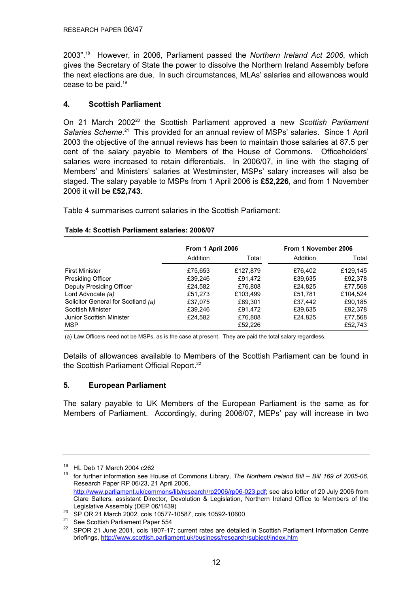2003".18 However, in 2006, Parliament passed the *Northern Ireland Act 2006*, which gives the Secretary of State the power to dissolve the Northern Ireland Assembly before the next elections are due. In such circumstances, MLAs' salaries and allowances would cease to be paid.19

#### **4. Scottish Parliament**

On 21 March 2002<sup>20</sup> the Scottish Parliament approved a new Scottish Parliament Salaries Scheme.<sup>21</sup> This provided for an annual review of MSPs' salaries. Since 1 April 2003 the objective of the annual reviews has been to maintain those salaries at 87.5 per cent of the salary payable to Members of the House of Commons. Officeholders' salaries were increased to retain differentials. In 2006/07, in line with the staging of Members' and Ministers' salaries at Westminster, MSPs' salary increases will also be staged. The salary payable to MSPs from 1 April 2006 is **£52,226**, and from 1 November 2006 it will be **£52,743**.

Table 4 summarises current salaries in the Scottish Parliament:

|                                    | From 1 April 2006 |          | From 1 November 2006 |          |
|------------------------------------|-------------------|----------|----------------------|----------|
|                                    | Addition          | Total    | Addition             | Total    |
| <b>First Minister</b>              | £75,653           | £127.879 | £76.402              | £129.145 |
| <b>Presiding Officer</b>           | £39.246           | £91.472  | £39,635              | £92,378  |
| Deputy Presiding Officer           | £24,582           | £76,808  | £24.825              | £77,568  |
| Lord Advocate (a)                  | £51,273           | £103.499 | £51,781              | £104,524 |
| Solicitor General for Scotland (a) | £37.075           | £89.301  | £37.442              | £90.185  |
| Scottish Minister                  | £39,246           | £91,472  | £39,635              | £92,378  |
| Junior Scottish Minister           | £24,582           | £76,808  | £24,825              | £77,568  |
| <b>MSP</b>                         |                   | £52,226  |                      | £52.743  |

#### **Table 4: Scottish Parliament salaries: 2006/07**

(a) Law Officers need not be MSPs, as is the case at present. They are paid the total salary regardless.

Details of allowances available to Members of the Scottish Parliament can be found in the Scottish Parliament Official Report.<sup>22</sup>

#### **5. European Parliament**

The salary payable to UK Members of the European Parliament is the same as for Members of Parliament. Accordingly, during 2006/07, MEPs' pay will increase in two

<sup>&</sup>lt;sup>18</sup> HL Deb 17 March 2004 c262<br><sup>19</sup> for further information ago H

<sup>19</sup> for further information see House of Commons Library, *The Northern Ireland Bill – Bill 169 of 2005-06*, Research Paper RP 06/23, 21 April 2006, http://www.parliament.uk/commons/lib/research/rp2006/rp06-023.pdf; see also letter of 20 July 2006 from Clare Salters, assistant Director, Devolution & Legislation, Northern Ireland Office to Members of the Legislative Assembly (DEP 06/1439)

<sup>20</sup> SP OR 21 March 2002, cols 10577-10587, cols 10592-10600<br>
<sup>21</sup> See Scottish Parliament Paper 554

<sup>&</sup>lt;sup>22</sup> SPOR 21 June 2001, cols 1907-17; current rates are detailed in Scottish Parliament Information Centre briefings, http://www.scottish.parliament.uk/business/research/subject/index.htm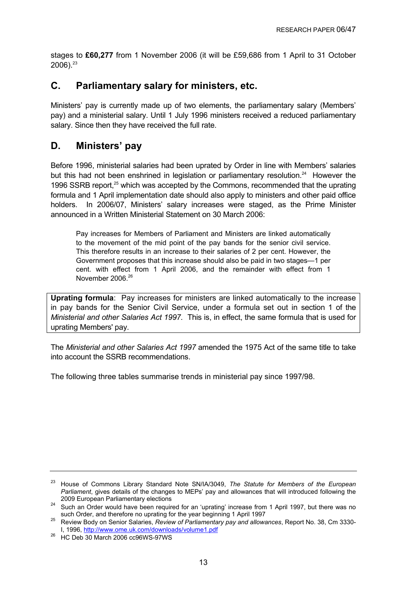stages to **£60,277** from 1 November 2006 (it will be £59,686 from 1 April to 31 October  $2006$ ). $23$ 

## **C. Parliamentary salary for ministers, etc.**

Ministers' pay is currently made up of two elements, the parliamentary salary (Members' pay) and a ministerial salary. Until 1 July 1996 ministers received a reduced parliamentary salary. Since then they have received the full rate.

## **D. Ministers' pay**

Before 1996, ministerial salaries had been uprated by Order in line with Members' salaries but this had not been enshrined in legislation or parliamentary resolution.<sup>24</sup> However the 1996 SSRB report,<sup>25</sup> which was accepted by the Commons, recommended that the uprating formula and 1 April implementation date should also apply to ministers and other paid office holders. In 2006/07, Ministers' salary increases were staged, as the Prime Minister announced in a Written Ministerial Statement on 30 March 2006:

Pay increases for Members of Parliament and Ministers are linked automatically to the movement of the mid point of the pay bands for the senior civil service. This therefore results in an increase to their salaries of 2 per cent. However, the Government proposes that this increase should also be paid in two stages—1 per cent. with effect from 1 April 2006, and the remainder with effect from 1 November 2006.<sup>26</sup>

**Uprating formula**: Pay increases for ministers are linked automatically to the increase in pay bands for the Senior Civil Service, under a formula set out in section 1 of the *Ministerial and other Salaries Act 1997*. This is, in effect, the same formula that is used for uprating Members' pay.

The *Ministerial and other Salaries Act 1997* amended the 1975 Act of the same title to take into account the SSRB recommendations.

The following three tables summarise trends in ministerial pay since 1997/98.

<sup>23</sup> House of Commons Library Standard Note SN/IA/3049, *The Statute for Members of the European Parliament*, gives details of the changes to MEPs' pay and allowances that will introduced following the

<sup>2009</sup> European Parliamentary elections<br>24 Such an Order would have been required for an 'uprating' increase from 1 April 1997, but there was no<br>31 Such Order, and therefore no uprating for the year beginning 1 April 1997

such Order, and therefore no uprating for the year beginning 1 April 1997 25 Review Body on Senior Salaries, *Review of Parliamentary pay and allowances*, Report No. 38, Cm 3330- I, 1996, http://www.ome.uk.com/downloads/volume1.pdf

<sup>26</sup> HC Deb 30 March 2006 cc96WS-97WS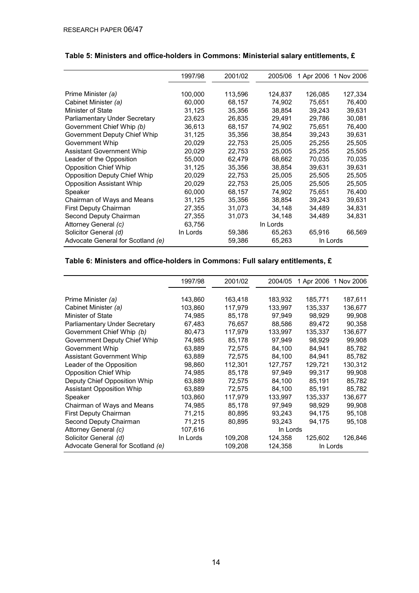|                                     | 1997/98  | 2001/02 | 2005/06  |          | 1 Apr 2006 1 Nov 2006 |
|-------------------------------------|----------|---------|----------|----------|-----------------------|
|                                     |          |         |          |          |                       |
| Prime Minister (a)                  | 100,000  | 113,596 | 124,837  | 126,085  | 127,334               |
| Cabinet Minister (a)                | 60,000   | 68,157  | 74,902   | 75,651   | 76,400                |
| Minister of State                   | 31,125   | 35,356  | 38,854   | 39,243   | 39,631                |
| Parliamentary Under Secretary       | 23,623   | 26,835  | 29,491   | 29,786   | 30,081                |
| Government Chief Whip (b)           | 36.613   | 68,157  | 74,902   | 75.651   | 76,400                |
| Government Deputy Chief Whip        | 31,125   | 35,356  | 38,854   | 39,243   | 39,631                |
| Government Whip                     | 20,029   | 22,753  | 25,005   | 25,255   | 25,505                |
| <b>Assistant Government Whip</b>    | 20,029   | 22,753  | 25,005   | 25,255   | 25,505                |
| Leader of the Opposition            | 55,000   | 62,479  | 68,662   | 70.035   | 70,035                |
| <b>Opposition Chief Whip</b>        | 31,125   | 35,356  | 38,854   | 39,631   | 39,631                |
| <b>Opposition Deputy Chief Whip</b> | 20,029   | 22,753  | 25,005   | 25,505   | 25,505                |
| <b>Opposition Assistant Whip</b>    | 20,029   | 22,753  | 25,005   | 25,505   | 25,505                |
| Speaker                             | 60,000   | 68,157  | 74,902   | 75,651   | 76,400                |
| Chairman of Ways and Means          | 31,125   | 35,356  | 38,854   | 39,243   | 39,631                |
| First Deputy Chairman               | 27,355   | 31,073  | 34,148   | 34,489   | 34,831                |
| Second Deputy Chairman              | 27,355   | 31,073  | 34,148   | 34,489   | 34,831                |
| Attorney General (c)                | 63,756   |         | In Lords |          |                       |
| Solicitor General (d)               | In Lords | 59,386  | 65,263   | 65,916   | 66,569                |
| Advocate General for Scotland (e)   |          | 59,386  | 65,263   | In Lords |                       |

### **Table 5: Ministers and office-holders in Commons: Ministerial salary entitlements, £**

### **Table 6: Ministers and office-holders in Commons: Full salary entitlements, £**

|                                      | 1997/98  | 2001/02 | 2004/05  |          | 1 Apr 2006 1 Nov 2006 |
|--------------------------------------|----------|---------|----------|----------|-----------------------|
|                                      |          |         |          |          |                       |
| Prime Minister (a)                   | 143,860  | 163,418 | 183,932  | 185,771  | 187,611               |
| Cabinet Minister (a)                 | 103,860  | 117,979 | 133,997  | 135,337  | 136,677               |
| Minister of State                    | 74,985   | 85,178  | 97,949   | 98.929   | 99,908                |
| <b>Parliamentary Under Secretary</b> | 67,483   | 76,657  | 88,586   | 89,472   | 90,358                |
| Government Chief Whip (b)            | 80.473   | 117.979 | 133.997  | 135.337  | 136.677               |
| Government Deputy Chief Whip         | 74,985   | 85,178  | 97,949   | 98,929   | 99,908                |
| Government Whip                      | 63,889   | 72,575  | 84,100   | 84,941   | 85,782                |
| <b>Assistant Government Whip</b>     | 63,889   | 72,575  | 84,100   | 84,941   | 85,782                |
| Leader of the Opposition             | 98,860   | 112,301 | 127,757  | 129,721  | 130,312               |
| <b>Opposition Chief Whip</b>         | 74,985   | 85,178  | 97,949   | 99.317   | 99,908                |
| Deputy Chief Opposition Whip         | 63,889   | 72,575  | 84,100   | 85,191   | 85,782                |
| <b>Assistant Opposition Whip</b>     | 63,889   | 72,575  | 84,100   | 85,191   | 85,782                |
| Speaker                              | 103,860  | 117,979 | 133,997  | 135,337  | 136,677               |
| Chairman of Ways and Means           | 74,985   | 85,178  | 97,949   | 98,929   | 99,908                |
| <b>First Deputy Chairman</b>         | 71,215   | 80,895  | 93,243   | 94.175   | 95,108                |
| Second Deputy Chairman               | 71,215   | 80,895  | 93,243   | 94,175   | 95,108                |
| Attorney General (c)                 | 107,616  |         | In Lords |          |                       |
| Solicitor General (d)                | In Lords | 109,208 | 124,358  | 125,602  | 126,846               |
| Advocate General for Scotland (e)    |          | 109,208 | 124,358  | In Lords |                       |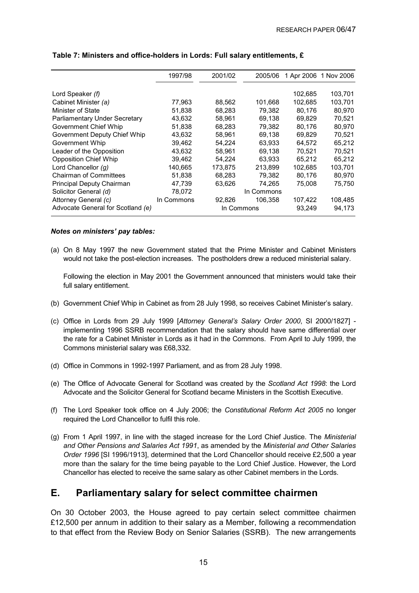|                                      | 1997/98    | 2001/02 | 2005/06    |         | 1 Apr 2006 1 Nov 2006 |
|--------------------------------------|------------|---------|------------|---------|-----------------------|
|                                      |            |         |            |         |                       |
| Lord Speaker (f)                     |            |         |            | 102,685 | 103,701               |
| Cabinet Minister (a)                 | 77,963     | 88,562  | 101,668    | 102,685 | 103,701               |
| Minister of State                    | 51,838     | 68,283  | 79,382     | 80,176  | 80,970                |
| <b>Parliamentary Under Secretary</b> | 43,632     | 58,961  | 69,138     | 69.829  | 70,521                |
| Government Chief Whip                | 51,838     | 68,283  | 79.382     | 80.176  | 80,970                |
| Government Deputy Chief Whip         | 43,632     | 58,961  | 69,138     | 69.829  | 70,521                |
| Government Whip                      | 39,462     | 54.224  | 63.933     | 64.572  | 65,212                |
| Leader of the Opposition             | 43,632     | 58.961  | 69.138     | 70.521  | 70,521                |
| <b>Opposition Chief Whip</b>         | 39,462     | 54,224  | 63.933     | 65.212  | 65,212                |
| Lord Chancellor $(q)$                | 140.665    | 173.875 | 213.899    | 102.685 | 103.701               |
| <b>Chairman of Committees</b>        | 51,838     | 68,283  | 79,382     | 80,176  | 80,970                |
| Principal Deputy Chairman            | 47,739     | 63,626  | 74.265     | 75,008  | 75,750                |
| Solicitor General (d)                | 78,072     |         | In Commons |         |                       |
| Attorney General (c)                 | In Commons | 92,826  | 106.358    | 107,422 | 108,485               |
| Advocate General for Scotland (e)    |            |         | In Commons | 93,249  | 94,173                |

#### **Table 7: Ministers and office-holders in Lords: Full salary entitlements, £**

#### *Notes on ministers' pay tables:*

(a) On 8 May 1997 the new Government stated that the Prime Minister and Cabinet Ministers would not take the post-election increases. The postholders drew a reduced ministerial salary.

Following the election in May 2001 the Government announced that ministers would take their full salary entitlement.

- (b) Government Chief Whip in Cabinet as from 28 July 1998, so receives Cabinet Minister's salary.
- (c) Office in Lords from 29 July 1999 [*Attorney General's Salary Order 2000*, SI 2000/1827] implementing 1996 SSRB recommendation that the salary should have same differential over the rate for a Cabinet Minister in Lords as it had in the Commons. From April to July 1999, the Commons ministerial salary was £68,332.
- (d) Office in Commons in 1992-1997 Parliament, and as from 28 July 1998.
- (e) The Office of Advocate General for Scotland was created by the *Scotland Act 1998*: the Lord Advocate and the Solicitor General for Scotland became Ministers in the Scottish Executive.
- (f) The Lord Speaker took office on 4 July 2006; the *Constitutional Reform Act 2005* no longer required the Lord Chancellor to fulfil this role.
- (g) From 1 April 1997, in line with the staged increase for the Lord Chief Justice. The *Ministerial and Other Pensions and Salaries Act 1991*, as amended by the *Ministerial and Other Salaries Order 1996* [SI 1996/1913], determined that the Lord Chancellor should receive £2,500 a year more than the salary for the time being payable to the Lord Chief Justice. However, the Lord Chancellor has elected to receive the same salary as other Cabinet members in the Lords.

### **E. Parliamentary salary for select committee chairmen**

On 30 October 2003, the House agreed to pay certain select committee chairmen £12,500 per annum in addition to their salary as a Member, following a recommendation to that effect from the Review Body on Senior Salaries (SSRB). The new arrangements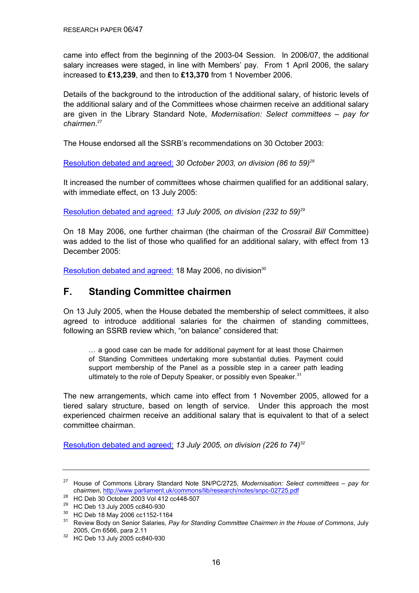came into effect from the beginning of the 2003-04 Session. In 2006/07, the additional salary increases were staged, in line with Members' pay. From 1 April 2006, the salary increased to **£13,239**, and then to **£13,370** from 1 November 2006.

Details of the background to the introduction of the additional salary, of historic levels of the additional salary and of the Committees whose chairmen receive an additional salary are given in the Library Standard Note, *Modernisation: Select committees – pay for chairmen*. 27

The House endorsed all the SSRB's recommendations on 30 October 2003:

[Resolution debated and agreed:](http://www.publications.parliament.uk/pa/cm200203/cmhansrd/vo031030/debtext/31030-09.htm#31030-09_head1) *30 October 2003, on division (86 to 59)28*

It increased the number of committees whose chairmen qualified for an additional salary, with immediate effect, on 13 July 2005:

[Resolution debated and agreed:](http://www.publications.parliament.uk/pa/cm200506/cmhansrd/cm050713/debtext/50713-05.htm#50713-05_head0) *13 July 2005, on division (232 to 59)29*

On 18 May 2006, one further chairman (the chairman of the *Crossrail Bill* Committee) was added to the list of those who qualified for an additional salary, with effect from 13 December 2005:

[Resolution debated and agreed: 1](http://www.publications.parliament.uk/pa/cm200506/cmhansrd/cm060518/debtext/60518-0239.htm#060518114000003)8 May 2006, no division<sup>30</sup>

### **F. Standing Committee chairmen**

On 13 July 2005, when the House debated the membership of select committees, it also agreed to introduce additional salaries for the chairmen of standing committees, following an SSRB review which, "on balance" considered that:

… a good case can be made for additional payment for at least those Chairmen of Standing Committees undertaking more substantial duties. Payment could support membership of the Panel as a possible step in a career path leading ultimately to the role of Deputy Speaker, or possibly even Speaker.<sup>31</sup>

The new arrangements, which came into effect from 1 November 2005, allowed for a tiered salary structure, based on length of service. Under this approach the most experienced chairmen receive an additional salary that is equivalent to that of a select committee chairman.

[Resolution debated and agreed:](http://www.publications.parliament.uk/pa/cm200506/cmhansrd/cm050713/debtext/50713-05.htm#50713-05_head0) *13 July 2005, on division (226 to 74)32*

<sup>27</sup> House of Commons Library Standard Note SN/PC/2725, *Modernisation: Select committees – pay for chairmen*, http://www.parliament.uk/commons/lib/research/notes/snpc-02725.pdf

<sup>28</sup> HC Deb 30 October 2003 Vol 412 cc448-507

<sup>29</sup> HC Deb 13 July 2005 cc840-930

<sup>30</sup> HC Deb 18 May 2006 cc1152-1164

<sup>31</sup> Review Body on Senior Salaries, *Pay for Standing Committee Chairmen in the House of Commons*, July

<sup>2005,</sup> Cm 6566, para 2.11<br><sup>32</sup> HC Deb 13 July 2005 cc840-930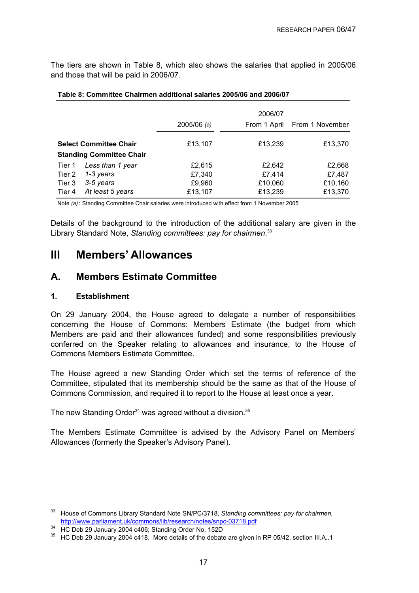The tiers are shown in Table 8, which also shows the salaries that applied in 2005/06 and those that will be paid in 2006/07.

|                                                                  |                                                                | $2005/06$ (a)                         | 2006/07<br>From 1 April                | From 1 November                        |
|------------------------------------------------------------------|----------------------------------------------------------------|---------------------------------------|----------------------------------------|----------------------------------------|
| <b>Select Committee Chair</b><br><b>Standing Committee Chair</b> |                                                                | £13,107                               | £13,239                                | £13,370                                |
| Tier 1<br>Tier 2<br>Tier 3<br>Tier 4                             | Less than 1 year<br>1-3 years<br>3-5 years<br>At least 5 years | £2,615<br>£7,340<br>£9,960<br>£13,107 | £2,642<br>£7,414<br>£10,060<br>£13,239 | £2,668<br>£7,487<br>£10,160<br>£13,370 |

#### **Table 8: Committee Chairmen additional salaries 2005/06 and 2006/07**

Note *(a)* : Standing Committee Chair salaries were introduced with effect from 1 November 2005

Details of the background to the introduction of the additional salary are given in the Library Standard Note, *Standing committees: pay for chairmen*. 33

## **III Members' Allowances**

### **A. Members Estimate Committee**

#### **1. Establishment**

On 29 January 2004, the House agreed to delegate a number of responsibilities concerning the House of Commons: Members Estimate (the budget from which Members are paid and their allowances funded) and some responsibilities previously conferred on the Speaker relating to allowances and insurance, to the House of Commons Members Estimate Committee.

The House agreed a new Standing Order which set the terms of reference of the Committee, stipulated that its membership should be the same as that of the House of Commons Commission, and required it to report to the House at least once a year.

The new Standing Order<sup>34</sup> was agreed without a division.<sup>35</sup>

The Members Estimate Committee is advised by the Advisory Panel on Members' Allowances (formerly the Speaker's Advisory Panel).

<sup>33</sup> House of Commons Library Standard Note SN/PC/3718, *Standing committees: pay for chairmen*, http://www.parliament.uk/commons/lib/research/notes/snpc-03718.pdf 34 HC Deb 29 January 2004 c406; Standing Order No. 152D

<sup>&</sup>lt;sup>35</sup> HC Deb 29 January 2004 c418. More details of the debate are given in RP 05/42, section III.A..1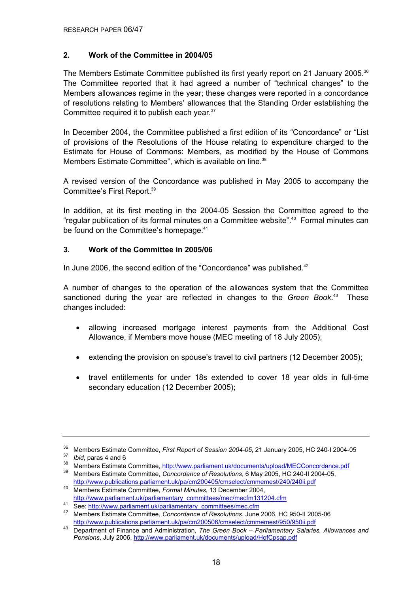#### **2. Work of the Committee in 2004/05**

The Members Estimate Committee published its first yearly report on 21 January 2005.<sup>36</sup> The Committee reported that it had agreed a number of "technical changes" to the Members allowances regime in the year; these changes were reported in a concordance of resolutions relating to Members' allowances that the Standing Order establishing the Committee required it to publish each year.<sup>37</sup>

In December 2004, the Committee published a first edition of its "Concordance" or "List of provisions of the Resolutions of the House relating to expenditure charged to the Estimate for House of Commons: Members, as modified by the House of Commons Members Estimate Committee", which is available on line.<sup>38</sup>

A revised version of the Concordance was published in May 2005 to accompany the Committee's First Report.39

In addition, at its first meeting in the 2004-05 Session the Committee agreed to the "regular publication of its formal minutes on a Committee website".40 Formal minutes can be found on the Committee's homepage.<sup>41</sup>

#### **3. Work of the Committee in 2005/06**

In June 2006, the second edition of the "Concordance" was published.<sup>42</sup>

A number of changes to the operation of the allowances system that the Committee sanctioned during the year are reflected in changes to the *Green Book*. 43 These changes included:

- allowing increased mortgage interest payments from the Additional Cost Allowance, if Members move house (MEC meeting of 18 July 2005);
- extending the provision on spouse's travel to civil partners (12 December 2005);
- travel entitlements for under 18s extended to cover 18 year olds in full-time secondary education (12 December 2005);

<sup>&</sup>lt;sup>36</sup> Members Estimate Committee, *First Report of Session 2004-05*, 21 January 2005, HC 240-I 2004-05<br><sup>37</sup> *Ibid*, paras 4 and 6<br><sup>38</sup> Members Estimate Committee, http://www.parliament.uk/documents/upload/MECConcordance.pd

<sup>39</sup> Members Estimate Committee, *Concordance of Resolutions*, 6 May 2005, HC 240-II 2004-05, http://www.publications.parliament.uk/pa/cm200405/cmselect/cmmemest/240/240ii.pdf 40 Members Estimate Committee, *Formal Minutes*, 13 December 2004,

http://www.parliament.uk/parliamentary\_committees/mec/mecfm131204.cfm<br>
See: http://www.parliament.uk/parliamentary\_committees/mec.cfm<br>
<sup>42</sup> Members Estimate Committee, *Concordance of Resolutions*, June 2006, HC 950-II 200 http://www.publications.parliament.uk/pa/cm200506/cmselect/cmmemest/950/950ii.pdf 43 Department of Finance and Administration, *The Green Book – Parliamentary Salaries, Allowances and* 

*Pensions*, July 2006, http://www.parliament.uk/documents/upload/HofCpsap.pdf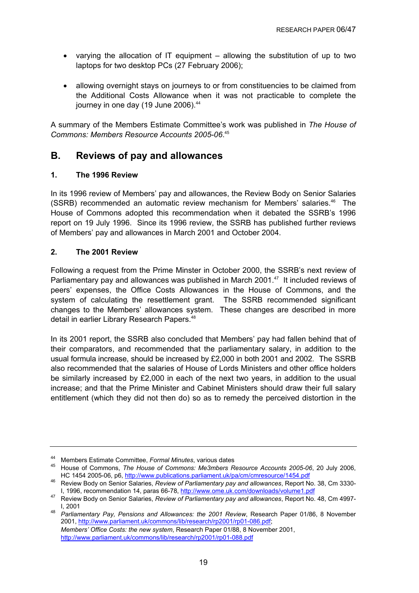- varying the allocation of IT equipment allowing the substitution of up to two laptops for two desktop PCs (27 February 2006);
- allowing overnight stays on journeys to or from constituencies to be claimed from the Additional Costs Allowance when it was not practicable to complete the journey in one day (19 June 2006).<sup>44</sup>

A summary of the Members Estimate Committee's work was published in *The House of Commons: Members Resource Accounts 2005-06*. 45

### **B. Reviews of pay and allowances**

#### **1. The 1996 Review**

In its 1996 review of Members' pay and allowances, the Review Body on Senior Salaries (SSRB) recommended an automatic review mechanism for Members' salaries.46 The House of Commons adopted this recommendation when it debated the SSRB's 1996 report on 19 July 1996. Since its 1996 review, the SSRB has published further reviews of Members' pay and allowances in March 2001 and October 2004.

#### **2. The 2001 Review**

Following a request from the Prime Minster in October 2000, the SSRB's next review of Parliamentary pay and allowances was published in March 2001.<sup>47</sup> It included reviews of peers' expenses, the Office Costs Allowances in the House of Commons, and the system of calculating the resettlement grant. The SSRB recommended significant changes to the Members' allowances system. These changes are described in more detail in earlier Library Research Papers.<sup>48</sup>

In its 2001 report, the SSRB also concluded that Members' pay had fallen behind that of their comparators, and recommended that the parliamentary salary, in addition to the usual formula increase, should be increased by £2,000 in both 2001 and 2002. The SSRB also recommended that the salaries of House of Lords Ministers and other office holders be similarly increased by £2,000 in each of the next two years, in addition to the usual increase; and that the Prime Minister and Cabinet Ministers should draw their full salary entitlement (which they did not then do) so as to remedy the perceived distortion in the

<sup>44</sup> Members Estimate Committee, *Formal Minutes*, various dates<br>45 House of Commons, *The House of Commons: Me3mbers Resource Accounts 2005-06*, 20 July 2006,<br>HC 1454 2005-06, p6, http://www.publications.parliament.uk/pa/cm

<sup>&</sup>lt;sup>46</sup> Review Body on Senior Salaries, *Review of Parliamentary pay and allowances*, Report No. 38, Cm 3330-I, 1996, recommendation 14, paras 66-78, http://www.ome.uk.com/downloads/volume1.pdf

<sup>47</sup> Review Body on Senior Salaries, *Review of Parliamentary pay and allowances*, Report No. 48, Cm 4997-

I, 2001 48 *Parliamentary Pay, Pensions and Allowances: the 2001 Review*, Research Paper 01/86, 8 November 2001, http://www.parliament.uk/commons/lib/research/rp2001/rp01-086.pdf; *Members' Office Costs: the new system*, Research Paper 01/88, 8 November 2001, http://www.parliament.uk/commons/lib/research/rp2001/rp01-088.pdf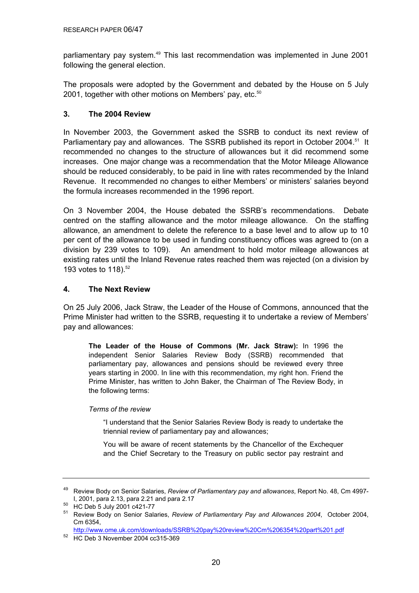parliamentary pay system.<sup>49</sup> This last recommendation was implemented in June 2001 following the general election.

The proposals were adopted by the Government and debated by the House on 5 July 2001, together with other motions on Members' pay, etc. $50$ 

#### **3. The 2004 Review**

In November 2003, the Government asked the SSRB to conduct its next review of Parliamentary pay and allowances. The SSRB published its report in October 2004.<sup>51</sup> It recommended no changes to the structure of allowances but it did recommend some increases. One major change was a recommendation that the Motor Mileage Allowance should be reduced considerably, to be paid in line with rates recommended by the Inland Revenue. It recommended no changes to either Members' or ministers' salaries beyond the formula increases recommended in the 1996 report.

On 3 November 2004, the House debated the SSRB's recommendations. Debate centred on the staffing allowance and the motor mileage allowance. On the staffing allowance, an amendment to delete the reference to a base level and to allow up to 10 per cent of the allowance to be used in funding constituency offices was agreed to (on a division by 239 votes to 109). An amendment to hold motor mileage allowances at existing rates until the Inland Revenue rates reached them was rejected (on a division by 193 votes to 118).<sup>52</sup>

#### **4. The Next Review**

On 25 July 2006, Jack Straw, the Leader of the House of Commons, announced that the Prime Minister had written to the SSRB, requesting it to undertake a review of Members' pay and allowances:

**The Leader of the House of Commons (Mr. Jack Straw):** In 1996 the independent Senior Salaries Review Body (SSRB) recommended that parliamentary pay, allowances and pensions should be reviewed every three years starting in 2000. In line with this recommendation, my right hon. Friend the Prime Minister, has written to John Baker, the Chairman of The Review Body, in the following terms:

#### *Terms of the review*

"I understand that the Senior Salaries Review Body is ready to undertake the triennial review of parliamentary pay and allowances;

You will be aware of recent statements by the Chancellor of the Exchequer and the Chief Secretary to the Treasury on public sector pay restraint and

<sup>49</sup> Review Body on Senior Salaries, *Review of Parliamentary pay and allowances*, Report No. 48, Cm 4997-

 $150$  HC Deb 5 July 2001 c421-77

<sup>51</sup> Review Body on Senior Salaries, *Review of Parliamentary Pay and Allowances 2004*, October 2004, Cm 6354,

http://www.ome.uk.com/downloads/SSRB%20pay%20review%20Cm%206354%20part%201.pdf 52 HC Deb 3 November 2004 cc315-369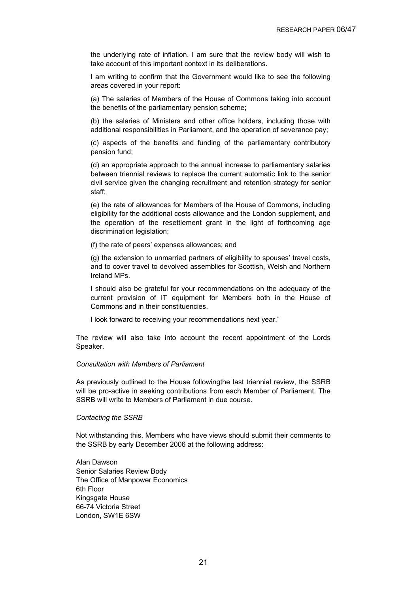the underlying rate of inflation. I am sure that the review body will wish to take account of this important context in its deliberations.

I am writing to confirm that the Government would like to see the following areas covered in your report:

(a) The salaries of Members of the House of Commons taking into account the benefits of the parliamentary pension scheme;

(b) the salaries of Ministers and other office holders, including those with additional responsibilities in Parliament, and the operation of severance pay;

(c) aspects of the benefits and funding of the parliamentary contributory pension fund;

(d) an appropriate approach to the annual increase to parliamentary salaries between triennial reviews to replace the current automatic link to the senior civil service given the changing recruitment and retention strategy for senior staff;

(e) the rate of allowances for Members of the House of Commons, including eligibility for the additional costs allowance and the London supplement, and the operation of the resettlement grant in the light of forthcoming age discrimination legislation;

(f) the rate of peers' expenses allowances; and

(g) the extension to unmarried partners of eligibility to spouses' travel costs, and to cover travel to devolved assemblies for Scottish, Welsh and Northern Ireland MPs.

I should also be grateful for your recommendations on the adequacy of the current provision of IT equipment for Members both in the House of Commons and in their constituencies.

I look forward to receiving your recommendations next year."

The review will also take into account the recent appointment of the Lords Speaker.

#### *Consultation with Members of Parliament*

As previously outlined to the House followingthe last triennial review, the SSRB will be pro-active in seeking contributions from each Member of Parliament. The SSRB will write to Members of Parliament in due course.

#### *Contacting the SSRB*

Not withstanding this, Members who have views should submit their comments to the SSRB by early December 2006 at the following address:

Alan Dawson Senior Salaries Review Body The Office of Manpower Economics 6th Floor Kingsgate House 66-74 Victoria Street London, SW1E 6SW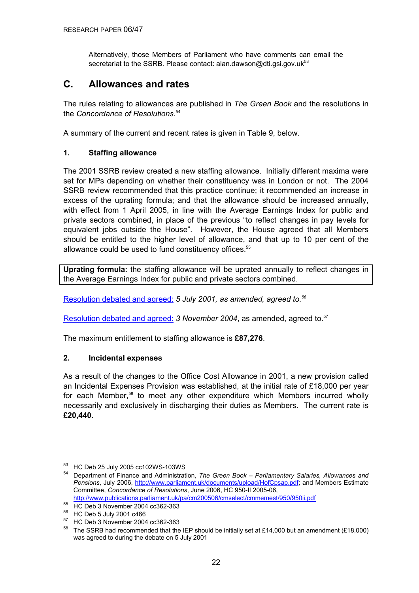Alternatively, those Members of Parliament who have comments can email the secretariat to the SSRB. Please contact: alan.dawson@dti.gsi.gov.uk<sup>53</sup>

### **C. Allowances and rates**

The rules relating to allowances are published in *The Green Book* and the resolutions in the *Concordance of Resolutions*. 54

A summary of the current and recent rates is given in Table 9, below.

#### **1. Staffing allowance**

The 2001 SSRB review created a new staffing allowance. Initially different maxima were set for MPs depending on whether their constituency was in London or not. The 2004 SSRB review recommended that this practice continue; it recommended an increase in excess of the uprating formula; and that the allowance should be increased annually, with effect from 1 April 2005, in line with the Average Earnings Index for public and private sectors combined, in place of the previous "to reflect changes in pay levels for equivalent jobs outside the House". However, the House agreed that all Members should be entitled to the higher level of allowance, and that up to 10 per cent of the allowance could be used to fund constituency offices.<sup>55</sup>

**Uprating formula:** the staffing allowance will be uprated annually to reflect changes in the Average Earnings Index for public and private sectors combined.

[Resolution debated and agreed:](http://www.publications.parliament.uk/pa/cm200102/cmhansrd/vo010705/debtext/10705-25.htm#10705-25_div12) *5 July 2001, as amended, agreed to.56*

[Resolution debated and agreed:](http://www.publications.parliament.uk/pa/cm200304/cmhansrd/vo041103/debtext/41103-20.htm#41103-20_div307) 3 November 2004, as amended, agreed to.<sup>57</sup>

The maximum entitlement to staffing allowance is **£87,276**.

#### **2. Incidental expenses**

As a result of the changes to the Office Cost Allowance in 2001, a new provision called an Incidental Expenses Provision was established, at the initial rate of £18,000 per year for each Member,<sup>58</sup> to meet any other expenditure which Members incurred wholly necessarily and exclusively in discharging their duties as Members. The current rate is **£20,440**.

 $53$  HC Deb 25 July 2005 cc102WS-103WS

<sup>54</sup> Department of Finance and Administration, *The Green Book – Parliamentary Salaries, Allowances and Pensions*, July 2006, http://www.parliament.uk/documents/upload/HofCpsap.pdf; and Members Estimate Committee, *Concordance of Resolutions*, June 2006, HC 950-II 2005-06, http://www.publications.parliament.uk/pa/cm200506/cmselect/cmmemest/950/950ii.pdf

<sup>55</sup> HC Deb 3 November 2004 cc362-363

<sup>56</sup> HC Deb 5 July 2001 c466

<sup>57</sup> HC Deb 3 November 2004 cc362-363

<sup>&</sup>lt;sup>58</sup> The SSRB had recommended that the IEP should be initially set at £14,000 but an amendment (£18,000) was agreed to during the debate on 5 July 2001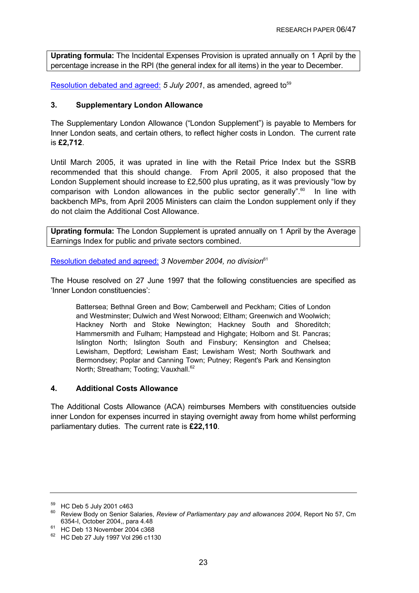**Uprating formula:** The Incidental Expenses Provision is uprated annually on 1 April by the percentage increase in the RPI (the general index for all items) in the year to December.

[Resolution debated and agreed:](http://www.publications.parliament.uk/pa/cm200102/cmhansrd/vo010705/debtext/10705-24.htm#10705-24_spnew0) 5 July 2001, as amended, agreed to<sup>59</sup>

#### **3. Supplementary London Allowance**

The Supplementary London Allowance ("London Supplement") is payable to Members for Inner London seats, and certain others, to reflect higher costs in London. The current rate is **£2,712**.

Until March 2005, it was uprated in line with the Retail Price Index but the SSRB recommended that this should change. From April 2005, it also proposed that the London Supplement should increase to £2,500 plus uprating, as it was previously "low by comparison with London allowances in the public sector generally".<sup>60</sup> In line with backbench MPs, from April 2005 Ministers can claim the London supplement only if they do not claim the Additional Cost Allowance.

**Uprating formula:** The London Supplement is uprated annually on 1 April by the Average Earnings Index for public and private sectors combined.

[Resolution debated and agreed:](http://www.publications.parliament.uk/pa/cm200102/cmhansrd/vo010705/debtext/10705-24.htm#10705-24_spnew0) 3 November 2004, no division<sup>61</sup>

The House resolved on 27 June 1997 that the following constituencies are specified as 'Inner London constituencies':

Battersea; Bethnal Green and Bow; Camberwell and Peckham; Cities of London and Westminster; Dulwich and West Norwood; Eltham; Greenwich and Woolwich; Hackney North and Stoke Newington; Hackney South and Shoreditch; Hammersmith and Fulham; Hampstead and Highgate; Holborn and St. Pancras; Islington North; Islington South and Finsbury; Kensington and Chelsea; Lewisham, Deptford; Lewisham East; Lewisham West; North Southwark and Bermondsey; Poplar and Canning Town; Putney; Regent's Park and Kensington North; Streatham; Tooting; Vauxhall.<sup>62</sup>

#### **4. Additional Costs Allowance**

The Additional Costs Allowance (ACA) reimburses Members with constituencies outside inner London for expenses incurred in staying overnight away from home whilst performing parliamentary duties. The current rate is **£22,110**.

<sup>59</sup> HC Deb 5 July 2001 c463

<sup>60</sup> Review Body on Senior Salaries, *Review of Parliamentary pay and allowances 2004*, Report No 57, Cm

<sup>6354-</sup>I, October 2004,, para 4.48 61 HC Deb 13 November 2004 c368

<sup>62</sup> HC Deb 27 July 1997 Vol 296 c1130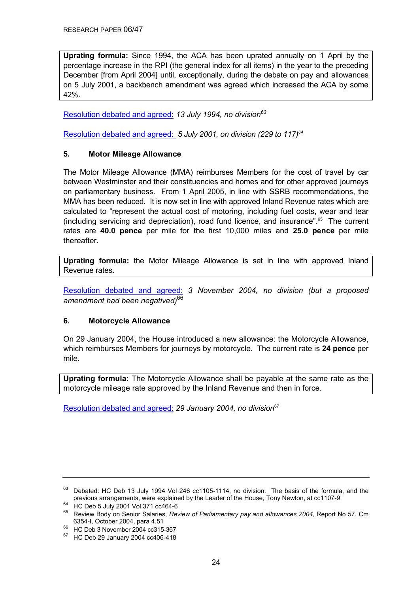**Uprating formula:** Since 1994, the ACA has been uprated annually on 1 April by the percentage increase in the RPI (the general index for all items) in the year to the preceding December [from April 2004] until, exceptionally, during the debate on pay and allowances on 5 July 2001, a backbench amendment was agreed which increased the ACA by some 42%.

[Resolution debated and agreed:](http://www.publications.parliament.uk/pa/cm199394/cmhansrd/1994-07-13/Debate-11.html) *13 July 1994, no division63*

[Resolution debated and agreed:](http://www.publications.parliament.uk/pa/cm200102/cmhansrd/vo010705/debtext/10705-24.htm#10705-24_div11) *5 July 2001, on division (229 to 117)64*

#### **5. Motor Mileage Allowance**

The Motor Mileage Allowance (MMA) reimburses Members for the cost of travel by car between Westminster and their constituencies and homes and for other approved journeys on parliamentary business. From 1 April 2005, in line with SSRB recommendations, the MMA has been reduced. It is now set in line with approved Inland Revenue rates which are calculated to "represent the actual cost of motoring, including fuel costs, wear and tear (including servicing and depreciation), road fund licence, and insurance".65 The current rates are **40.0 pence** per mile for the first 10,000 miles and **25.0 pence** per mile thereafter.

**Uprating formula:** the Motor Mileage Allowance is set in line with approved Inland Revenue rates.

[Resolution debated and agreed:](http://www.publications.parliament.uk/pa/cm200304/cmhansrd/vo041103/debtext/41103-05.htm#41103-05_head0) *3 November 2004, no division (but a proposed amendment had been negatived)*<sup>66</sup>

#### **6. Motorcycle Allowance**

On 29 January 2004, the House introduced a new allowance: the Motorcycle Allowance, which reimburses Members for journeys by motorcycle. The current rate is **24 pence** per mile.

**Uprating formula:** The Motorcycle Allowance shall be payable at the same rate as the motorcycle mileage rate approved by the Inland Revenue and then in force.

[Resolution debated and agreed:](http://www.publications.parliament.uk/pa/cm200304/cmhansrd/vo040129/debtext/40129-11.htm#40129-11_head0) *29 January 2004, no division*<sup>67</sup>

<sup>&</sup>lt;sup>63</sup> Debated: HC Deb 13 July 1994 Vol 246 cc1105-1114, no division. The basis of the formula, and the previous arrangements, were explained by the Leader of the House, Tony Newton, at cc1107-9 HC Deb 5 July 2001 Vol 371 cc464-6

<sup>65</sup> Review Body on Senior Salaries, *Review of Parliamentary pay and allowances 2004*, Report No 57, Cm 6354-I, October 2004, para 4.51 66 HC Deb 3 November 2004 cc315-367

<sup>67</sup> HC Deb 29 January 2004 cc406-418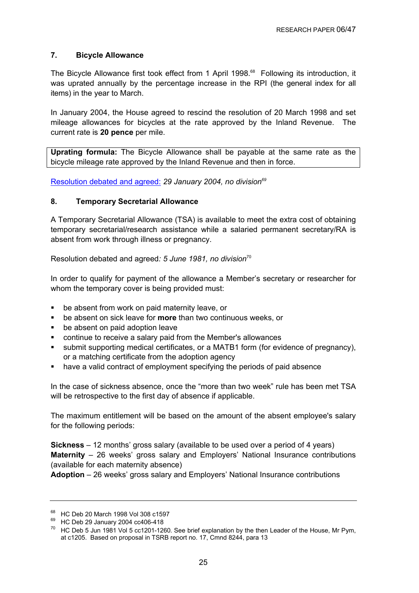#### **7. Bicycle Allowance**

The Bicycle Allowance first took effect from 1 April 1998.<sup>68</sup> Following its introduction, it was uprated annually by the percentage increase in the RPI (the general index for all items) in the year to March.

In January 2004, the House agreed to rescind the resolution of 20 March 1998 and set mileage allowances for bicycles at the rate approved by the Inland Revenue. The current rate is **20 pence** per mile.

**Uprating formula:** The Bicycle Allowance shall be payable at the same rate as the bicycle mileage rate approved by the Inland Revenue and then in force.

[Resolution debated and agreed:](http://www.publications.parliament.uk/pa/cm200304/cmhansrd/vo040129/debtext/40129-11.htm#40129-11_head0) *29 January 2004, no division69*

#### **8. Temporary Secretarial Allowance**

A Temporary Secretarial Allowance (TSA) is available to meet the extra cost of obtaining temporary secretarial/research assistance while a salaried permanent secretary/RA is absent from work through illness or pregnancy.

Resolution debated and agreed*: 5 June 1981, no division*<sup>70</sup>

In order to qualify for payment of the allowance a Member's secretary or researcher for whom the temporary cover is being provided must:

- be absent from work on paid maternity leave, or
- be absent on sick leave for **more** than two continuous weeks, or
- be absent on paid adoption leave
- continue to receive a salary paid from the Member's allowances
- submit supporting medical certificates, or a MATB1 form (for evidence of pregnancy), or a matching certificate from the adoption agency
- have a valid contract of employment specifying the periods of paid absence

In the case of sickness absence, once the "more than two week" rule has been met TSA will be retrospective to the first day of absence if applicable.

The maximum entitlement will be based on the amount of the absent employee's salary for the following periods:

**Sickness** – 12 months' gross salary (available to be used over a period of 4 years) **Maternity** – 26 weeks' gross salary and Employers' National Insurance contributions (available for each maternity absence)

**Adoption** – 26 weeks' gross salary and Employers' National Insurance contributions

<sup>&</sup>lt;sup>68</sup> HC Deb 20 March 1998 Vol 308 c1597

<sup>&</sup>lt;sup>69</sup> HC Deb 29 January 2004 cc406-418

 $70$  HC Deb 5 Jun 1981 Vol 5 cc1201-1260. See brief explanation by the then Leader of the House, Mr Pym, at c1205. Based on proposal in TSRB report no. 17, Cmnd 8244, para 13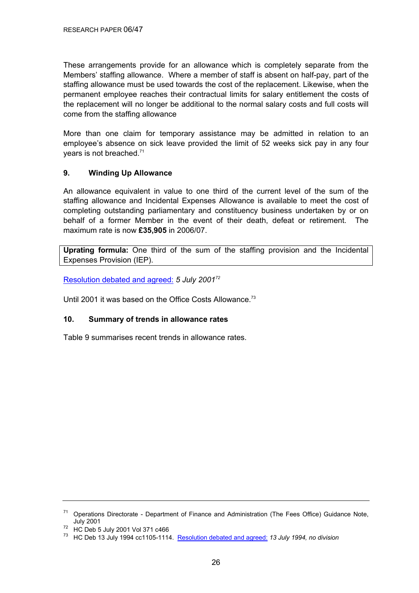These arrangements provide for an allowance which is completely separate from the Members' staffing allowance. Where a member of staff is absent on half-pay, part of the staffing allowance must be used towards the cost of the replacement. Likewise, when the permanent employee reaches their contractual limits for salary entitlement the costs of the replacement will no longer be additional to the normal salary costs and full costs will come from the staffing allowance

More than one claim for temporary assistance may be admitted in relation to an employee's absence on sick leave provided the limit of 52 weeks sick pay in any four years is not breached.71

#### **9. Winding Up Allowance**

An allowance equivalent in value to one third of the current level of the sum of the staffing allowance and Incidental Expenses Allowance is available to meet the cost of completing outstanding parliamentary and constituency business undertaken by or on behalf of a former Member in the event of their death, defeat or retirement. The maximum rate is now **£35,905** in 2006/07.

**Uprating formula:** One third of the sum of the staffing provision and the Incidental Expenses Provision (IEP).

[Resolution debated and agreed:](http://www.publications.parliament.uk/pa/cm200102/cmhansrd/vo010705/debtext/10705-25.htm#10705-25_div12) *5 July 200172*

Until 2001 it was based on the Office Costs Allowance.<sup>73</sup>

#### **10. Summary of trends in allowance rates**

Table 9 summarises recent trends in allowance rates.

<sup>71</sup> Operations Directorate - Department of Finance and Administration (The Fees Office) Guidance Note, July 2001 72 HC Deb 5 July 2001 Vol 371 c466

<sup>73</sup> HC Deb 13 July 1994 cc1105-1114. Resolution debated and agreed: *13 July 1994, no division*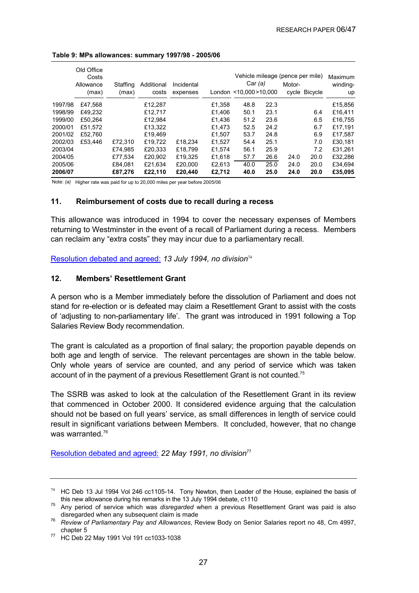|         | Old Office<br>Costs<br>Allowance<br>(max) | Staffing<br>(max) | Additional<br>costs | Incidental<br>expenses |        | Vehicle mileage (pence per mile)<br>Car (a)<br>London <10.000 >10.000 |      | Motor- | cycle Bicycle | Maximum<br>winding-<br>up |
|---------|-------------------------------------------|-------------------|---------------------|------------------------|--------|-----------------------------------------------------------------------|------|--------|---------------|---------------------------|
| 1997/98 | £47.568                                   |                   | £12.287             |                        | £1.358 | 48.8                                                                  | 22.3 |        |               | £15,856                   |
| 1998/99 | £49.232                                   |                   | £12,717             |                        | £1,406 | 50.1                                                                  | 23.1 |        | 6.4           | £16,411                   |
| 1999/00 | £50.264                                   |                   | £12.984             |                        | £1.436 | 51.2                                                                  | 23.6 |        | 6.5           | £16,755                   |
| 2000/01 | £51.572                                   |                   | £13,322             |                        | £1.473 | 52.5                                                                  | 24.2 |        | 6.7           | £17,191                   |
| 2001/02 | £52.760                                   |                   | £19.469             |                        | £1.507 | 53.7                                                                  | 24.8 |        | 6.9           | £17.587                   |
| 2002/03 | £53.446                                   | £72.310           | £19,722             | £18,234                | £1.527 | 54.4                                                                  | 25.1 |        | 7.0           | £30,181                   |
| 2003/04 |                                           | £74.985           | £20.333             | £18.799                | £1.574 | 56.1                                                                  | 25.9 |        | 7.2           | £31.261                   |
| 2004/05 |                                           | £77,534           | £20,902             | £19.325                | £1.618 | 57.7                                                                  | 26.6 | 24.0   | 20.0          | £32.286                   |
| 2005/06 |                                           | £84.081           | £21,634             | £20,000                | £2.613 | 40.0                                                                  | 25.0 | 24.0   | 20.0          | £34.694                   |
| 2006/07 |                                           | £87,276           | £22.110             | £20,440                | £2,712 | 40.0                                                                  | 25.0 | 24.0   | 20.0          | £35,095                   |

#### **Table 9: MPs allowances: summary 1997/98 - 2005/06**

Note: *(a)* Higher rate was paid for up to 20,000 miles per year before 2005/06

#### **11. Reimbursement of costs due to recall during a recess**

This allowance was introduced in 1994 to cover the necessary expenses of Members returning to Westminster in the event of a recall of Parliament during a recess. Members can reclaim any "extra costs" they may incur due to a parliamentary recall.

[Resolution debated and agreed:](http://www.publications.parliament.uk/pa/cm199394/cmhansrd/1994-07-13/Debate-11.html) *13 July 1994, no division*<sup>74</sup>

#### **12. Members' Resettlement Grant**

A person who is a Member immediately before the dissolution of Parliament and does not stand for re-election or is defeated may claim a Resettlement Grant to assist with the costs of 'adjusting to non-parliamentary life'. The grant was introduced in 1991 following a Top Salaries Review Body recommendation.

The grant is calculated as a proportion of final salary; the proportion payable depends on both age and length of service. The relevant percentages are shown in the table below. Only whole years of service are counted, and any period of service which was taken account of in the payment of a previous Resettlement Grant is not counted.75

The SSRB was asked to look at the calculation of the Resettlement Grant in its review that commenced in October 2000. It considered evidence arguing that the calculation should not be based on full years' service, as small differences in length of service could result in significant variations between Members. It concluded, however, that no change was warranted.<sup>76</sup>

[Resolution debated and agreed:](http://www.publications.parliament.uk/pa/cm199091/cmhansrd/1991-05-22/Debate-14.html) *22 May 1991, no division*<sup>77</sup>

 $74$  HC Deb 13 Jul 1994 Vol 246 cc1105-14. Tony Newton, then Leader of the House, explained the basis of this new allowance during his remarks in the 13 July 1994 debate, c1110 75 Any period of service which was *disregarded* when a previous Resettlement Grant was paid is also

disregarded when any subsequent claim is made 76 *Review of Parliamentary Pay and Allowances*, Review Body on Senior Salaries report no 48, Cm 4997, chapter 5 77 HC Deb 22 May 1991 Vol 191 cc1033-1038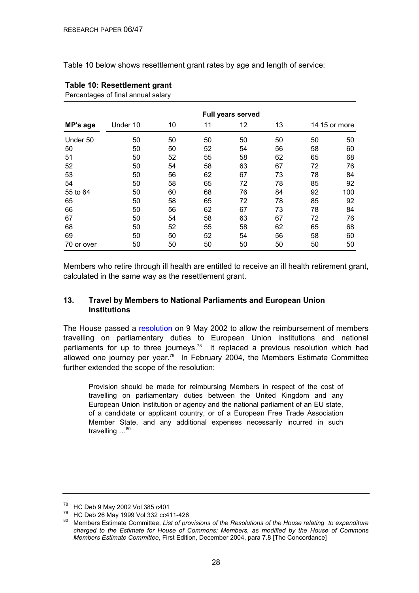Table 10 below shows resettlement grant rates by age and length of service:

|            | <b>Full years served</b> |    |    |    |    |    |               |
|------------|--------------------------|----|----|----|----|----|---------------|
| MP's age   | Under 10                 | 10 | 11 | 12 | 13 |    | 14 15 or more |
| Under 50   | 50                       | 50 | 50 | 50 | 50 | 50 | 50            |
| 50         | 50                       | 50 | 52 | 54 | 56 | 58 | 60            |
| 51         | 50                       | 52 | 55 | 58 | 62 | 65 | 68            |
| 52         | 50                       | 54 | 58 | 63 | 67 | 72 | 76            |
| 53         | 50                       | 56 | 62 | 67 | 73 | 78 | 84            |
| 54         | 50                       | 58 | 65 | 72 | 78 | 85 | 92            |
| 55 to 64   | 50                       | 60 | 68 | 76 | 84 | 92 | 100           |
| 65         | 50                       | 58 | 65 | 72 | 78 | 85 | 92            |
| 66         | 50                       | 56 | 62 | 67 | 73 | 78 | 84            |
| 67         | 50                       | 54 | 58 | 63 | 67 | 72 | 76            |
| 68         | 50                       | 52 | 55 | 58 | 62 | 65 | 68            |
| 69         | 50                       | 50 | 52 | 54 | 56 | 58 | 60            |
| 70 or over | 50                       | 50 | 50 | 50 | 50 | 50 | 50            |

## **Table 10: Resettlement grant**

Percentages of final annual salary

Members who retire through ill health are entitled to receive an ill health retirement grant, calculated in the same way as the resettlement grant.

#### **13. Travel by Members to National Parliaments and European Union Institutions**

The House passed a [resolution](http://www.publications.parliament.uk/pa/cm200102/cmhansrd/vo020509/debtext/20509-41.htm#20509-41_spmin1) on 9 May 2002 to allow the reimbursement of members travelling on parliamentary duties to European Union institutions and national parliaments for up to three journeys.<sup>78</sup> It replaced a previous resolution which had allowed one journey per year.<sup>79</sup> In February 2004, the Members Estimate Committee further extended the scope of the resolution:

Provision should be made for reimbursing Members in respect of the cost of travelling on parliamentary duties between the United Kingdom and any European Union Institution or agency and the national parliament of an EU state, of a candidate or applicant country, or of a European Free Trade Association Member State, and any additional expenses necessarily incurred in such travelling  $\ldots$ <sup>80</sup>

<sup>78</sup> HC Deb 9 May 2002 Vol 385 c401

<sup>&</sup>lt;sup>79</sup> HC Deb 26 May 1999 Vol 332 cc411-426

<sup>80</sup> Members Estimate Committee, *List of provisions of the Resolutions of the House relating to expenditure charged to the Estimate for House of Commons: Members, as modified by the House of Commons Members Estimate Committee*, First Edition, December 2004, para 7.8 [The Concordance]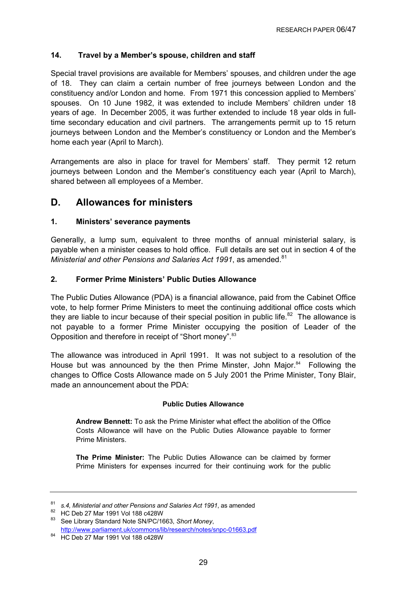#### **14. Travel by a Member's spouse, children and staff**

Special travel provisions are available for Members' spouses, and children under the age of 18. They can claim a certain number of free journeys between London and the constituency and/or London and home. From 1971 this concession applied to Members' spouses. On 10 June 1982, it was extended to include Members' children under 18 years of age. In December 2005, it was further extended to include 18 year olds in fulltime secondary education and civil partners. The arrangements permit up to 15 return journeys between London and the Member's constituency or London and the Member's home each year (April to March).

Arrangements are also in place for travel for Members' staff. They permit 12 return journeys between London and the Member's constituency each year (April to March), shared between all employees of a Member.

### **D. Allowances for ministers**

#### **1. Ministers' severance payments**

Generally, a lump sum, equivalent to three months of annual ministerial salary, is payable when a minister ceases to hold office. Full details are set out in section 4 of the *Ministerial and other Pensions and Salaries Act 1991, as amended.*<sup>81</sup>

#### **2. Former Prime Ministers' Public Duties Allowance**

The Public Duties Allowance (PDA) is a financial allowance, paid from the Cabinet Office vote, to help former Prime Ministers to meet the continuing additional office costs which they are liable to incur because of their special position in public life.<sup>82</sup> The allowance is not payable to a former Prime Minister occupying the position of Leader of the Opposition and therefore in receipt of "Short money".<sup>83</sup>

The allowance was introduced in April 1991. It was not subject to a resolution of the House but was announced by the then Prime Minster, John Major. $84$  Following the changes to Office Costs Allowance made on 5 July 2001 the Prime Minister, Tony Blair, made an announcement about the PDA:

#### **Public Duties Allowance**

**Andrew Bennett:** To ask the Prime Minister what effect the abolition of the Office Costs Allowance will have on the Public Duties Allowance payable to former Prime Ministers.

**The Prime Minister:** The Public Duties Allowance can be claimed by former Prime Ministers for expenses incurred for their continuing work for the public

<sup>&</sup>lt;sup>81</sup> s.4, Ministerial and other Pensions and Salaries Act 1991, as amended<br><sup>82</sup> HC Deb 27 Mar 1991 Vol 188 c428W<br><sup>83</sup> See Library Standard Note SN/PC/1663, *Short Money*, http://www.parliament.uk/commons/lib/research/notes/snpc-01663.pdf 84 HC Deb 27 Mar 1991 Vol 188 c428W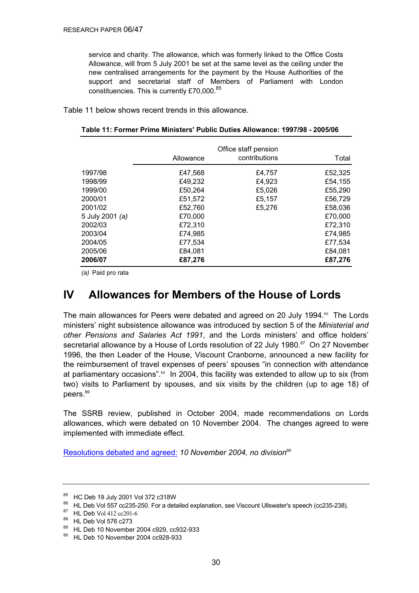service and charity. The allowance, which was formerly linked to the Office Costs Allowance, will from 5 July 2001 be set at the same level as the ceiling under the new centralised arrangements for the payment by the House Authorities of the support and secretarial staff of Members of Parliament with London constituencies. This is currently £70,000.85

Table 11 below shows recent trends in this allowance.

|                 | Allowance | Office staff pension<br>contributions | Total   |
|-----------------|-----------|---------------------------------------|---------|
| 1997/98         | £47,568   | £4,757                                | £52,325 |
| 1998/99         | £49,232   | £4,923                                | £54,155 |
| 1999/00         | £50,264   | £5,026                                | £55,290 |
| 2000/01         | £51,572   | £5,157                                | £56,729 |
| 2001/02         | £52,760   | £5,276                                | £58,036 |
| 5 July 2001 (a) | £70,000   |                                       | £70,000 |
| 2002/03         | £72,310   |                                       | £72,310 |
| 2003/04         | £74,985   |                                       | £74,985 |
| 2004/05         | £77,534   |                                       | £77,534 |
| 2005/06         | £84,081   |                                       | £84,081 |
| 2006/07         | £87,276   |                                       | £87,276 |

*(a)* Paid pro rata

## **IV Allowances for Members of the House of Lords**

The main allowances for Peers were debated and agreed on 20 July 1994.<sup>86</sup> The Lords ministers' night subsistence allowance was introduced by section 5 of the *Ministerial and other Pensions and Salaries Act 1991*, and the Lords ministers' and office holders' secretarial allowance by a House of Lords resolution of 22 July 1980.<sup>87</sup> On 27 November 1996, the then Leader of the House, Viscount Cranborne, announced a new facility for the reimbursement of travel expenses of peers' spouses "in connection with attendance at parliamentary occasions".88 In 2004, this facility was extended to allow up to six (from two) visits to Parliament by spouses, and six visits by the children (up to age 18) of peers.<sup>89</sup>

The SSRB review, published in October 2004, made recommendations on Lords allowances, which were debated on 10 November 2004. The changes agreed to were implemented with immediate effect.

[Resolutions debated and agreed:](http://www.publications.parliament.uk/pa/ld200304/ldhansrd/vo041110/text/41110-13.htm#41110-13_head0) 10 November 2004, no division<sup>90</sup>

<sup>85</sup> HC Deb 19 July 2001 Vol 372 c318W

<sup>&</sup>lt;sup>86</sup> HL Deb Vol 557 cc235-250. For a detailed explanation, see Viscount Ullswater's speech (cc235-238).<br><sup>87</sup> HL Deb Vol 412 cc201-6

<sup>88</sup> HL Deb Vol 576 c273

<sup>89</sup> HL Deb 10 November 2004 c929, cc932-933

<sup>90</sup> HL Deb 10 November 2004 cc928-933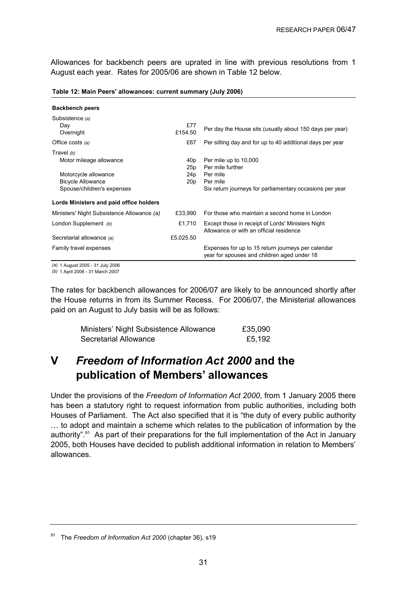Allowances for backbench peers are uprated in line with previous resolutions from 1 August each year. Rates for 2005/06 are shown in Table 12 below.

| <b>Backbench peers</b>                                                                                                    |                                                              |                                                                                                                               |
|---------------------------------------------------------------------------------------------------------------------------|--------------------------------------------------------------|-------------------------------------------------------------------------------------------------------------------------------|
| Subsistence (a)<br>Day<br>Overnight                                                                                       | £77<br>£15450                                                | Per day the House sits (usually about 150 days per year)                                                                      |
| Office costs $(a)$                                                                                                        | £67                                                          | Per sitting day and for up to 40 additional days per year                                                                     |
| Travel $(b)$<br>Motor mileage allowance<br>Motorcycle allowance<br><b>Bicycle Allowance</b><br>Spouse/children's expenses | 40 <sub>p</sub><br>25 <sub>p</sub><br>24p<br>20 <sub>p</sub> | Per mile up to 10,000<br>Per mile further<br>Per mile<br>Per mile<br>Six return journeys for parliamentary occasions per year |
| Lords Ministers and paid office holders                                                                                   |                                                              |                                                                                                                               |
| Ministers' Night Subsistence Allowance (a)                                                                                | £33.990                                                      | For those who maintain a second home in London                                                                                |
| London Supplement (b)                                                                                                     | £1,710                                                       | Except those in receipt of Lords' Ministers Night<br>Allowance or with an official residence                                  |
| Secretarial allowance (a)                                                                                                 | £5.025.50                                                    |                                                                                                                               |
| Family travel expenses                                                                                                    |                                                              | Expenses for up to 15 return journeys per calendar<br>year for spouses and children aged under 18                             |

**Table 12: Main Peers' allowances: current summary (July 2006)**

*(a)* 1 August 2005 - 31 July 2006

*(b)* 1 April 2006 - 31 March 2007

The rates for backbench allowances for 2006/07 are likely to be announced shortly after the House returns in from its Summer Recess. For 2006/07, the Ministerial allowances paid on an August to July basis will be as follows:

| Ministers' Night Subsistence Allowance | £35,090 |
|----------------------------------------|---------|
| Secretarial Allowance                  | £5,192  |

## **V** *Freedom of Information Act 2000* **and the publication of Members' allowances**

Under the provisions of the *Freedom of Information Act 2000*, from 1 January 2005 there has been a statutory right to request information from public authorities, including both Houses of Parliament. The Act also specified that it is "the duty of every public authority … to adopt and maintain a scheme which relates to the publication of information by the authority".<sup>91</sup> As part of their preparations for the full implementation of the Act in January 2005, both Houses have decided to publish additional information in relation to Members' allowances.

<sup>91</sup> The *Freedom of Information Act 2000* (chapter 36), s19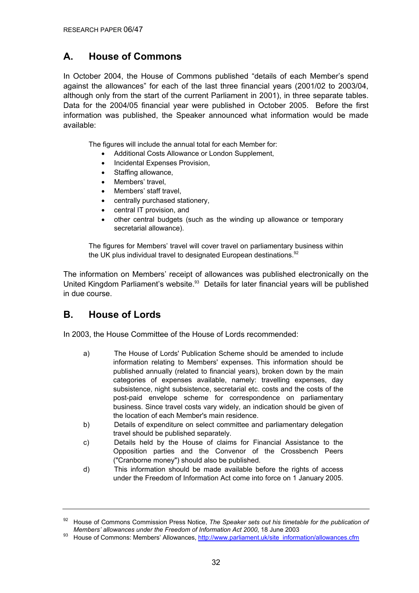## **A. House of Commons**

In October 2004, the House of Commons published "details of each Member's spend against the allowances" for each of the last three financial years (2001/02 to 2003/04, although only from the start of the current Parliament in 2001), in three separate tables. Data for the 2004/05 financial year were published in October 2005. Before the first information was published, the Speaker announced what information would be made available:

The figures will include the annual total for each Member for:

- Additional Costs Allowance or London Supplement,
- Incidental Expenses Provision,
- Staffing allowance,
- Members' travel,
- Members' staff travel,
- centrally purchased stationery,
- central IT provision, and
- other central budgets (such as the winding up allowance or temporary secretarial allowance).

The figures for Members' travel will cover travel on parliamentary business within the UK plus individual travel to designated European destinations. $92$ 

The information on Members' receipt of allowances was published electronically on the United Kingdom Parliament's website.<sup>93</sup> Details for later financial years will be published in due course.

## **B. House of Lords**

In 2003, the House Committee of the House of Lords recommended:

- a) The House of Lords' Publication Scheme should be amended to include information relating to Members' expenses. This information should be published annually (related to financial years), broken down by the main categories of expenses available, namely: travelling expenses, day subsistence, night subsistence, secretarial etc. costs and the costs of the post-paid envelope scheme for correspondence on parliamentary business. Since travel costs vary widely, an indication should be given of the location of each Member's main residence.
- b) Details of expenditure on select committee and parliamentary delegation travel should be published separately.
- c) Details held by the House of claims for Financial Assistance to the Opposition parties and the Convenor of the Crossbench Peers ("Cranborne money") should also be published.
- d) This information should be made available before the rights of access under the Freedom of Information Act come into force on 1 January 2005.

<sup>92</sup> House of Commons Commission Press Notice, *The Speaker sets out his timetable for the publication of* Members' allowances under the Freedom of Information Act 2000, 18 June 2003

<sup>&</sup>lt;sup>93</sup> House of Commons: Members' Allowances, http://www.parliament.uk/site\_information/allowances.cfm